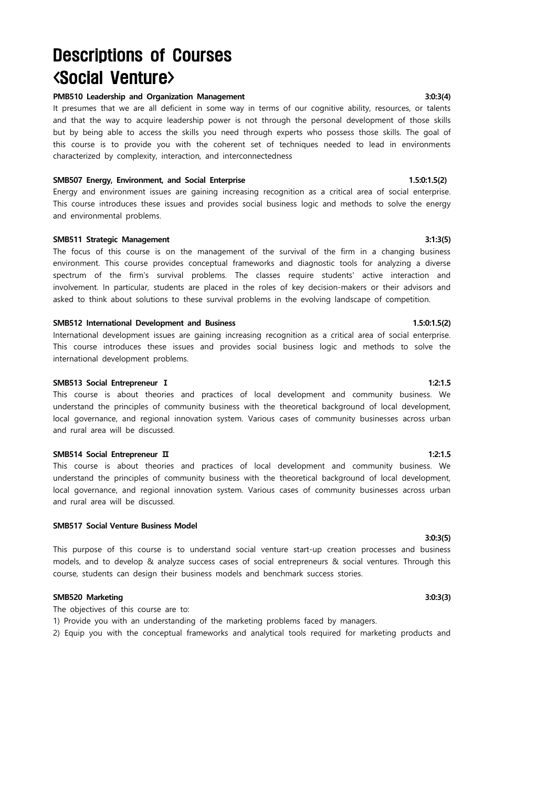# Descriptions of Courses <Social Venture>

### **PMB510 Leadership and Organization Management 3:0:3(4)**

It presumes that we are all deficient in some way in terms of our cognitive ability, resources, or talents and that the way to acquire leadership power is not through the personal development of those skills but by being able to access the skills you need through experts who possess those skills. The goal of this course is to provide you with the coherent set of techniques needed to lead in environments characterized by complexity, interaction, and interconnectedness

### **SMB507 Energy, Environment, and Social Enterprise 1.5:0:1.5(2) 1.5:0:1.5(2)** 1.5:0:1.5(2)

Energy and environment issues are gaining increasing recognition as a critical area of social enterprise. This course introduces these issues and provides social business logic and methods to solve the energy and environmental problems.

### **SMB511 Strategic Management 3:1:3(5)**

The focus of this course is on the management of the survival of the firm in a changing business environment. This course provides conceptual frameworks and diagnostic tools for analyzing a diverse spectrum of the firm's survival problems. The classes require students' active interaction and involvement. In particular, students are placed in the roles of key decision-makers or their advisors and asked to think about solutions to these survival problems in the evolving landscape of competition.

### **SMB512 International Development and Business 1.5:0:1.5(2)**

International development issues are gaining increasing recognition as a critical area of social enterprise. This course introduces these issues and provides social business logic and methods to solve the international development problems.

### **SMB513 Social Entrepreneur I** 1:2:1.5

This course is about theories and practices of local development and community business. We understand the principles of community business with the theoretical background of local development, local governance, and regional innovation system. Various cases of community businesses across urban and rural area will be discussed.

### **SMB514 Social Entrepreneur Π** 1:2:1.5

This course is about theories and practices of local development and community business. We understand the principles of community business with the theoretical background of local development, local governance, and regional innovation system. Various cases of community businesses across urban and rural area will be discussed.

### **SMB517 Social Venture Business Model**

This purpose of this course is to understand social venture start-up creation processes and business models, and to develop & analyze success cases of social entrepreneurs & social ventures. Through this course, students can design their business models and benchmark success stories.

# **SMB520 Marketing 3:0:3(3)**

The objectives of this course are to:

- 1) Provide you with an understanding of the marketing problems faced by managers.
- 2) Equip you with the conceptual frameworks and analytical tools required for marketing products and

# **3:0:3(5)**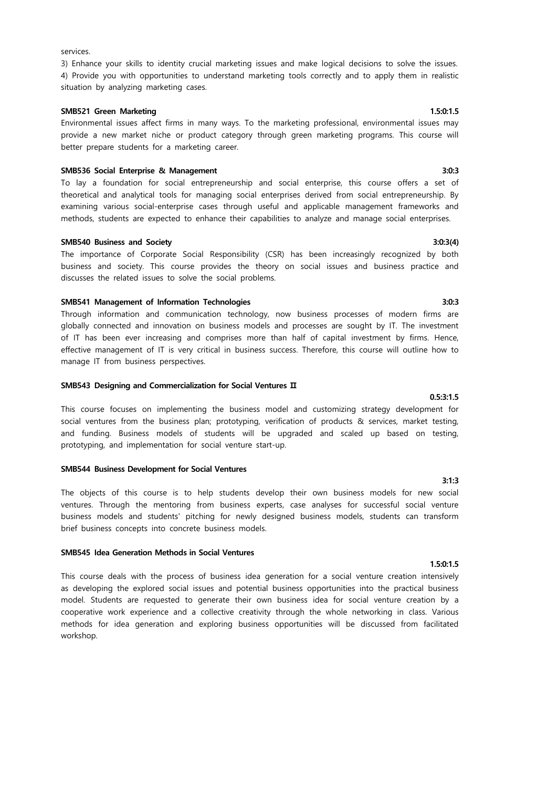### services.

# 3) Enhance your skills to identity crucial marketing issues and make logical decisions to solve the issues. 4) Provide you with opportunities to understand marketing tools correctly and to apply them in realistic situation by analyzing marketing cases.

### **SMB521 Green Marketing 1.5:0:1.5**

# Environmental issues affect firms in many ways. To the marketing professional, environmental issues may provide a new market niche or product category through green marketing programs. This course will better prepare students for a marketing career.

### **SMB536 Social Enterprise & Management 3:0:3**

To lay a foundation for social entrepreneurship and social enterprise, this course offers a set of theoretical and analytical tools for managing social enterprises derived from social entrepreneurship. By examining various social-enterprise cases through useful and applicable management frameworks and methods, students are expected to enhance their capabilities to analyze and manage social enterprises.

### **SMB540 Business and Society 3:0:3(4)**

The importance of Corporate Social Responsibility (CSR) has been increasingly recognized by both business and society. This course provides the theory on social issues and business practice and discusses the related issues to solve the social problems.

# **SMB541 Management of Information Technologies 3:0:3**

Through information and communication technology, now business processes of modern firms are globally connected and innovation on business models and processes are sought by IT. The investment of IT has been ever increasing and comprises more than half of capital investment by firms. Hence, effective management of IT is very critical in business success. Therefore, this course will outline how to manage IT from business perspectives.

### **SMB543 Designing and Commercialization for Social Ventures Ⅱ**

This course focuses on implementing the business model and customizing strategy development for social ventures from the business plan; prototyping, verification of products & services, market testing, and funding. Business models of students will be upgraded and scaled up based on testing, prototyping, and implementation for social venture start-up.

### **SMB544 Business Development for Social Ventures**

The objects of this course is to help students develop their own business models for new social ventures. Through the mentoring from business experts, case analyses for successful social venture business models and students' pitching for newly designed business models, students can transform brief business concepts into concrete business models.

### **SMB545 Idea Generation Methods in Social Ventures**

This course deals with the process of business idea generation for a social venture creation intensively as developing the explored social issues and potential business opportunities into the practical business model. Students are requested to generate their own business idea for social venture creation by a cooperative work experience and a collective creativity through the whole networking in class. Various methods for idea generation and exploring business opportunities will be discussed from facilitated workshop.

**0.5:3:1.5**

# **3:1:3**

# **1.5:0:1.5**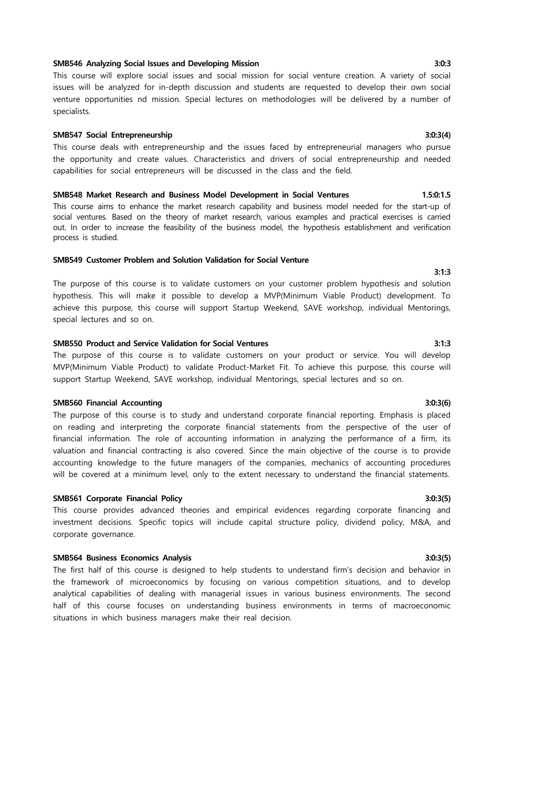# **SMB546 Analyzing Social Issues and Developing Mission 3:0:3**

This course will explore social issues and social mission for social venture creation. A variety of social issues will be analyzed for in-depth discussion and students are requested to develop their own social venture opportunities nd mission. Special lectures on methodologies will be delivered by a number of specialists.

# **SMB547 Social Entrepreneurship 3:0:3(4)**

This course deals with entrepreneurship and the issues faced by entrepreneurial managers who pursue the opportunity and create values. Characteristics and drivers of social entrepreneurship and needed capabilities for social entrepreneurs will be discussed in the class and the field.

### **SMB548 Market Research and Business Model Development in Social Ventures 1.5:0:1.5**

This course aims to enhance the market research capability and business model needed for the start-up of social ventures. Based on the theory of market research, various examples and practical exercises is carried out. In order to increase the feasibility of the business model, the hypothesis establishment and verification process is studied.

# **SMB549 Customer Problem and Solution Validation for Social Venture**

The purpose of this course is to validate customers on your customer problem hypothesis and solution hypothesis. This will make it possible to develop a MVP(Minimum Viable Product) development. To achieve this purpose, this course will support Startup Weekend, SAVE workshop, individual Mentorings, special lectures and so on.

### **SMB550 Product and Service Validation for Social Ventures 3:1:3**

The purpose of this course is to validate customers on your product or service. You will develop MVP(Minimum Viable Product) to validate Product-Market Fit. To achieve this purpose, this course will support Startup Weekend, SAVE workshop, individual Mentorings, special lectures and so on.

### **SMB560 Financial Accounting 3:0:3(6)**

The purpose of this course is to study and understand corporate financial reporting. Emphasis is placed on reading and interpreting the corporate financial statements from the perspective of the user of financial information. The role of accounting information in analyzing the performance of a firm, its valuation and financial contracting is also covered. Since the main objective of the course is to provide accounting knowledge to the future managers of the companies, mechanics of accounting procedures will be covered at a minimum level, only to the extent necessary to understand the financial statements.

### **SMB561 Corporate Financial Policy 3:0:3(5)**

This course provides advanced theories and empirical evidences regarding corporate financing and investment decisions. Specific topics will include capital structure policy, dividend policy, M&A, and corporate governance.

### **SMB564 Business Economics Analysis 3:0:3(5)**

The first half of this course is designed to help students to understand firm's decision and behavior in the framework of microeconomics by focusing on various competition situations, and to develop analytical capabilities of dealing with managerial issues in various business environments. The second half of this course focuses on understanding business environments in terms of macroeconomic situations in which business managers make their real decision.

**3:1:3**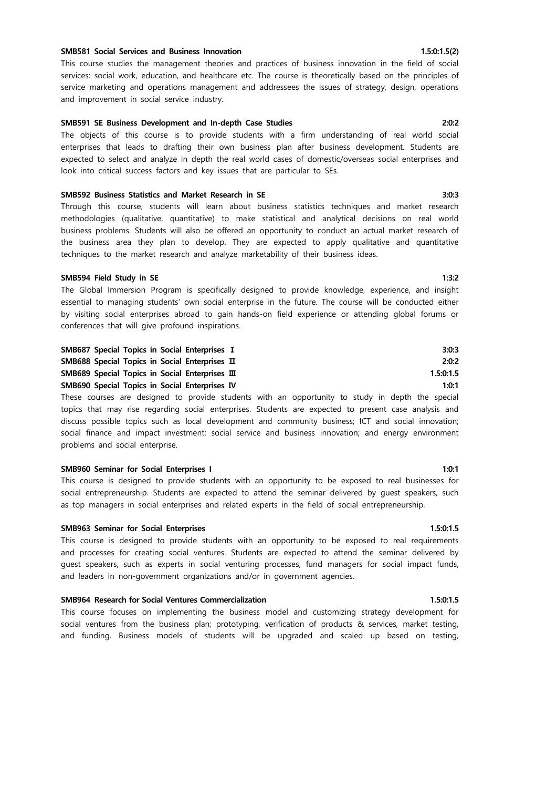### **SMB581 Social Services and Business Innovation 1.5:0:1.5(2)**

This course studies the management theories and practices of business innovation in the field of social services: social work, education, and healthcare etc. The course is theoretically based on the principles of service marketing and operations management and addressees the issues of strategy, design, operations and improvement in social service industry.

### **SMB591 SE Business Development and In-depth Case Studies 2:0:2**

The objects of this course is to provide students with a firm understanding of real world social enterprises that leads to drafting their own business plan after business development. Students are expected to select and analyze in depth the real world cases of domestic/overseas social enterprises and look into critical success factors and key issues that are particular to SEs.

### **SMB592 Business Statistics and Market Research in SE 3:0:3**

Through this course, students will learn about business statistics techniques and market research methodologies (qualitative, quantitative) to make statistical and analytical decisions on real world business problems. Students will also be offered an opportunity to conduct an actual market research of the business area they plan to develop. They are expected to apply qualitative and quantitative techniques to the market research and analyze marketability of their business ideas.

### **SMB594 Field Study in SE** 1:3:2

The Global Immersion Program is specifically designed to provide knowledge, experience, and insight essential to managing students' own social enterprise in the future. The course will be conducted either by visiting social enterprises abroad to gain hands-on field experience or attending global forums or conferences that will give profound inspirations.

| SMB687 Special Topics in Social Enterprises I<br>SMB688 Special Topics in Social Enterprises II | 3:0:3<br>2:0:2 |
|-------------------------------------------------------------------------------------------------|----------------|
|                                                                                                 |                |
| SMB690 Special Topics in Social Enterprises IV                                                  | 1:0:1          |

These courses are designed to provide students with an opportunity to study in depth the special topics that may rise regarding social enterprises. Students are expected to present case analysis and discuss possible topics such as local development and community business; ICT and social innovation; social finance and impact investment; social service and business innovation; and energy environment problems and social enterprise.

### **SMB960 Seminar for Social Enterprises I 1:0:1**

This course is designed to provide students with an opportunity to be exposed to real businesses for social entrepreneurship. Students are expected to attend the seminar delivered by guest speakers, such as top managers in social enterprises and related experts in the field of social entrepreneurship.

### **SMB963 Seminar for Social Enterprises 1.5:0:1.5**

This course is designed to provide students with an opportunity to be exposed to real requirements and processes for creating social ventures. Students are expected to attend the seminar delivered by guest speakers, such as experts in social venturing processes, fund managers for social impact funds, and leaders in non-government organizations and/or in government agencies.

# **SMB964 Research for Social Ventures Commercialization 1.5:0:1.5** 1.5:0:1.5

This course focuses on implementing the business model and customizing strategy development for social ventures from the business plan; prototyping, verification of products & services, market testing, and funding. Business models of students will be upgraded and scaled up based on testing,